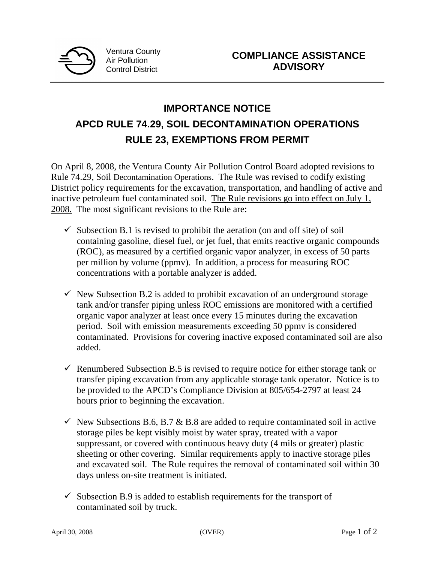

## **IMPORTANCE NOTICE APCD RULE 74.29, SOIL DECONTAMINATION OPERATIONS RULE 23, EXEMPTIONS FROM PERMIT**

On April 8, 2008, the Ventura County Air Pollution Control Board adopted revisions to Rule 74.29, Soil Decontamination Operations. The Rule was revised to codify existing District policy requirements for the excavation, transportation, and handling of active and inactive petroleum fuel contaminated soil. The Rule revisions go into effect on July 1, 2008. The most significant revisions to the Rule are:

- $\checkmark$  Subsection B.1 is revised to prohibit the aeration (on and off site) of soil containing gasoline, diesel fuel, or jet fuel, that emits reactive organic compounds (ROC), as measured by a certified organic vapor analyzer, in excess of 50 parts per million by volume (ppmv). In addition, a process for measuring ROC concentrations with a portable analyzer is added.
- $\checkmark$  New Subsection B.2 is added to prohibit excavation of an underground storage tank and/or transfer piping unless ROC emissions are monitored with a certified organic vapor analyzer at least once every 15 minutes during the excavation period. Soil with emission measurements exceeding 50 ppmv is considered contaminated. Provisions for covering inactive exposed contaminated soil are also added.
- $\checkmark$  Renumbered Subsection B.5 is revised to require notice for either storage tank or transfer piping excavation from any applicable storage tank operator. Notice is to be provided to the APCD's Compliance Division at 805/654-2797 at least 24 hours prior to beginning the excavation.
- $\checkmark$  New Subsections B.6, B.7 & B.8 are added to require contaminated soil in active storage piles be kept visibly moist by water spray, treated with a vapor suppressant, or covered with continuous heavy duty (4 mils or greater) plastic sheeting or other covering. Similar requirements apply to inactive storage piles and excavated soil. The Rule requires the removal of contaminated soil within 30 days unless on-site treatment is initiated.
- $\checkmark$  Subsection B.9 is added to establish requirements for the transport of contaminated soil by truck.